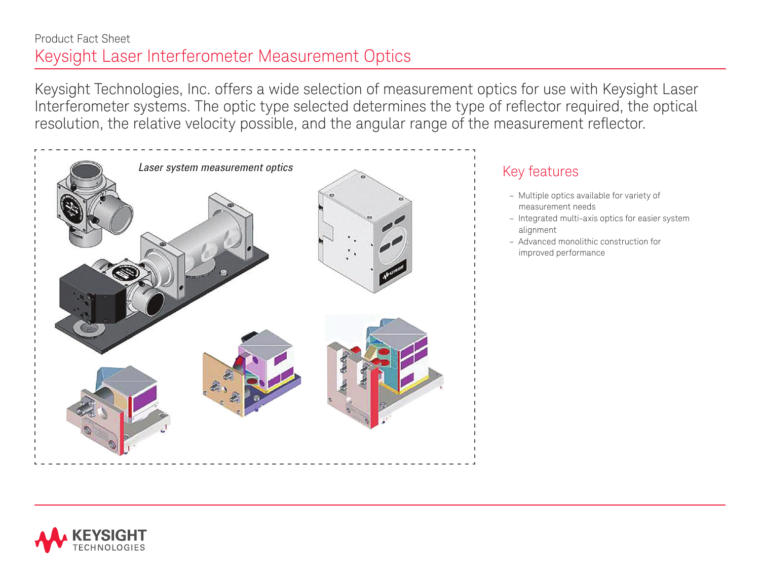## Product Fact Sheet Keysight Laser Interferometer Measurement Optics

Keysight Technologies, Inc. offers a wide selection of measurement optics for use with Keysight Laser Interferometer systems. The optic type selected determines the type of reflector required, the optical resolution, the relative velocity possible, and the angular range of the measurement reflector.